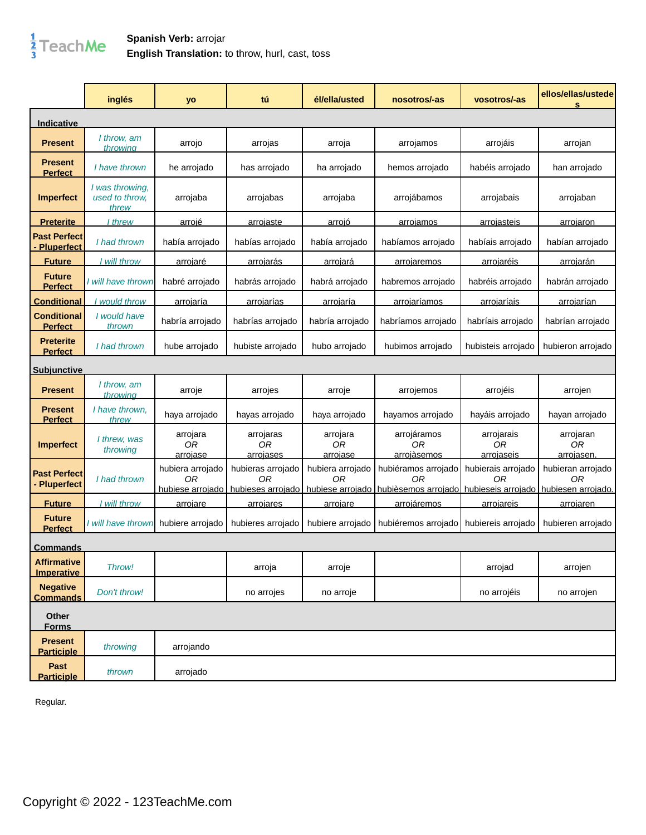

## **Spanish Verb:** arrojar **English Translation:** to throw, hurl, cast, toss

|                                          | inglés                                     | yo                         | tú                           | él/ella/usted              | nosotros/-as                                                                                                                                         | vosotros/-as                   | ellos/ellas/ustede<br>s       |
|------------------------------------------|--------------------------------------------|----------------------------|------------------------------|----------------------------|------------------------------------------------------------------------------------------------------------------------------------------------------|--------------------------------|-------------------------------|
| <u>Indicative</u>                        |                                            |                            |                              |                            |                                                                                                                                                      |                                |                               |
| <b>Present</b>                           | I throw, am<br>throwing                    | arrojo                     | arrojas                      | arroja                     | arrojamos                                                                                                                                            | arrojáis                       | arrojan                       |
| <b>Present</b><br><b>Perfect</b>         | I have thrown                              | he arrojado                | has arrojado                 | ha arrojado                | hemos arrojado                                                                                                                                       | habéis arrojado                | han arrojado                  |
| <b>Imperfect</b>                         | I was throwing,<br>used to throw.<br>threw | arrojaba                   | arrojabas                    | arrojaba                   | arrojábamos                                                                                                                                          | arrojabais                     | arrojaban                     |
| <b>Preterite</b>                         | I threw                                    | arroié                     | arrojaste                    | arroió                     | arrojamos                                                                                                                                            | <u>arroiasteis</u>             | arrojaron                     |
| <b>Past Perfect</b><br><b>Pluperfect</b> | I had thrown                               | había arrojado             | habías arrojado              | había arrojado             | habíamos arrojado                                                                                                                                    | habíais arrojado               | habían arrojado               |
| <b>Future</b>                            | I will throw                               | <u>arrojaré</u>            | <u>arrojarás</u>             | <u>arrojará</u>            | <u>arrojaremos</u>                                                                                                                                   | <u>arrojaréis</u>              | <u>arrojarán</u>              |
| <b>Future</b><br><b>Perfect</b>          | l will have thrown                         | habré arrojado             | habrás arrojado              | habrá arrojado             | habremos arrojado                                                                                                                                    | habréis arrojado               | habrán arrojado               |
| <b>Conditional</b>                       | would throw                                | arrojaría                  | arrojarías                   | <u>arrojaría</u>           | arrojaríamos                                                                                                                                         | arrojaríais                    | <u>arrojarían</u>             |
| <b>Conditional</b><br><b>Perfect</b>     | I would have<br>thrown                     | habría arrojado            | habrías arrojado             | habría arrojado            | habríamos arrojado                                                                                                                                   | habríais arrojado              | habrían arrojado              |
| <b>Preterite</b><br><b>Perfect</b>       | I had thrown                               | hube arrojado              | hubiste arrojado             | hubo arrojado              | hubimos arrojado                                                                                                                                     | hubisteis arrojado             | hubieron arrojado             |
| <u>Subiunctive</u>                       |                                            |                            |                              |                            |                                                                                                                                                      |                                |                               |
| <b>Present</b>                           | I throw, am<br>throwing                    | arroje                     | arrojes                      | arroje                     | arrojemos                                                                                                                                            | arrojéis                       | arrojen                       |
| <b>Present</b><br><b>Perfect</b>         | I have thrown.<br>threw                    | haya arrojado              | hayas arrojado               | haya arrojado              | hayamos arrojado                                                                                                                                     | hayáis arrojado                | hayan arrojado                |
| <b>Imperfect</b>                         | I threw, was<br>throwing                   | arrojara<br>0R<br>arroiase | arrojaras<br>0R<br>arroiases | arrojara<br>0R<br>arroiase | arrojáramos<br>0 <sub>R</sub><br>arroiàsemos                                                                                                         | arrojarais<br>0R<br>arroiaseis | arrojaran<br>0R<br>arroiasen. |
| <b>Past Perfect</b><br>- Pluperfect      | I had thrown                               | hubiera arrojado<br>0R     | hubieras arrojado<br>0R      | hubiera arrojado<br>ΩR     | hubiéramos arrojado<br>ОR<br>hubiese arroiado   hubieses arroiado   hubiese arroiado   hubièsemos arroiado   hubieseis arroiado   hubiesen arroiado. | hubierais arrojado<br>ΩR       | hubieran arrojado<br>ΩR       |
| <b>Future</b>                            | <u>l will throw</u>                        | <u>arrojare</u>            | <u>arrojares</u>             | arrojare                   | <u>arrojáremos</u>                                                                                                                                   | <u>arrojareis</u>              | arrojaren                     |
| <b>Future</b><br><b>Perfect</b>          | I will have thrown                         | hubiere arrojado           | hubieres arrojado            | hubiere arrojado           | hubiéremos arrojado                                                                                                                                  | hubiereis arrojado             | hubieren arrojado             |
| <u>Commands</u>                          |                                            |                            |                              |                            |                                                                                                                                                      |                                |                               |
| <b>Affirmative</b><br><b>Imperative</b>  | Throw!                                     |                            | arroja                       | arroje                     |                                                                                                                                                      | arrojad                        | arrojen                       |
| <b>Negative</b><br><b>Commands</b>       | Don't throw!                               |                            | no arrojes                   | no arroje                  |                                                                                                                                                      | no arrojéis                    | no arrojen                    |
| Other<br><b>Forms</b>                    |                                            |                            |                              |                            |                                                                                                                                                      |                                |                               |
| <b>Present</b><br><b>Participle</b>      | throwing                                   | arrojando                  |                              |                            |                                                                                                                                                      |                                |                               |
| Past<br><b>Participle</b>                | thrown                                     | arrojado                   |                              |                            |                                                                                                                                                      |                                |                               |

Regular.